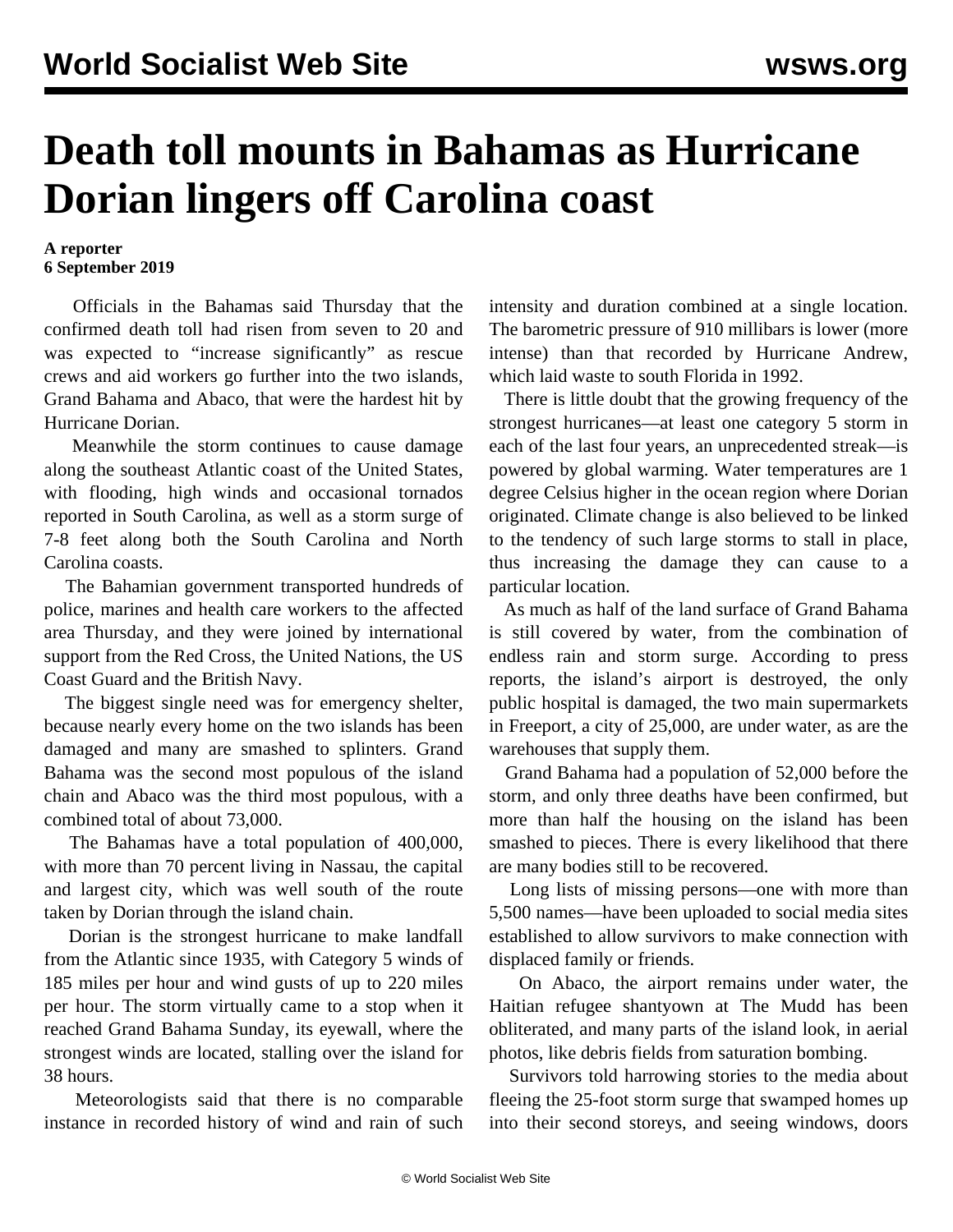## **Death toll mounts in Bahamas as Hurricane Dorian lingers off Carolina coast**

## **A reporter 6 September 2019**

 Officials in the Bahamas said Thursday that the confirmed death toll had risen from seven to 20 and was expected to "increase significantly" as rescue crews and aid workers go further into the two islands, Grand Bahama and Abaco, that were the hardest hit by Hurricane Dorian.

 Meanwhile the storm continues to cause damage along the southeast Atlantic coast of the United States, with flooding, high winds and occasional tornados reported in South Carolina, as well as a storm surge of 7-8 feet along both the South Carolina and North Carolina coasts.

 The Bahamian government transported hundreds of police, marines and health care workers to the affected area Thursday, and they were joined by international support from the Red Cross, the United Nations, the US Coast Guard and the British Navy.

 The biggest single need was for emergency shelter, because nearly every home on the two islands has been damaged and many are smashed to splinters. Grand Bahama was the second most populous of the island chain and Abaco was the third most populous, with a combined total of about 73,000.

 The Bahamas have a total population of 400,000, with more than 70 percent living in Nassau, the capital and largest city, which was well south of the route taken by Dorian through the island chain.

 Dorian is the strongest hurricane to make landfall from the Atlantic since 1935, with Category 5 winds of 185 miles per hour and wind gusts of up to 220 miles per hour. The storm virtually came to a stop when it reached Grand Bahama Sunday, its eyewall, where the strongest winds are located, stalling over the island for 38 hours.

 Meteorologists said that there is no comparable instance in recorded history of wind and rain of such intensity and duration combined at a single location. The barometric pressure of 910 millibars is lower (more intense) than that recorded by Hurricane Andrew, which laid waste to south Florida in 1992.

 There is little doubt that the growing frequency of the strongest hurricanes—at least one category 5 storm in each of the last four years, an unprecedented streak—is powered by global warming. Water temperatures are 1 degree Celsius higher in the ocean region where Dorian originated. Climate change is also believed to be linked to the tendency of such large storms to stall in place, thus increasing the damage they can cause to a particular location.

 As much as half of the land surface of Grand Bahama is still covered by water, from the combination of endless rain and storm surge. According to press reports, the island's airport is destroyed, the only public hospital is damaged, the two main supermarkets in Freeport, a city of 25,000, are under water, as are the warehouses that supply them.

 Grand Bahama had a population of 52,000 before the storm, and only three deaths have been confirmed, but more than half the housing on the island has been smashed to pieces. There is every likelihood that there are many bodies still to be recovered.

 Long lists of missing persons—one with more than 5,500 names—have been uploaded to social media sites established to allow survivors to make connection with displaced family or friends.

 On Abaco, the airport remains under water, the Haitian refugee shantyown at The Mudd has been obliterated, and many parts of the island look, in aerial photos, like debris fields from saturation bombing.

 Survivors told harrowing stories to the media about fleeing the 25-foot storm surge that swamped homes up into their second storeys, and seeing windows, doors